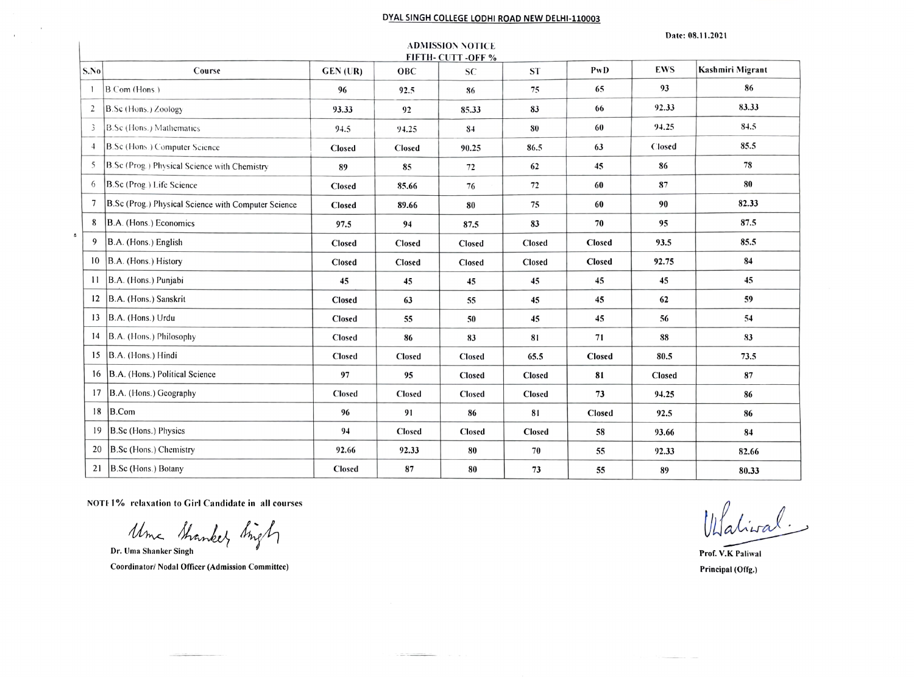## DYAL SINGH COLLEGE LODHI ROAD NEW DELHI-110003

**ADMISSION NOTICE** 

## Date: 08.11.2021

| FIFTH-CUTT-OFF% |                                                     |               |               |           |               |        |               |                  |  |  |
|-----------------|-----------------------------------------------------|---------------|---------------|-----------|---------------|--------|---------------|------------------|--|--|
| S.No            | Course                                              | GEN (UR)      | OBC           | <b>SC</b> | <b>ST</b>     | PwD    | <b>EWS</b>    | Kashmiri Migrant |  |  |
| -1              | $B$ Com (Hons.)                                     | 96            | 92.5          | 86        | 75            | 65     | 93            | 86               |  |  |
| $\overline{2}$  | B.Sc (Hons.) Zoology                                | 93.33         | 92            | 85.33     | 83            | 66     | 92.33         | 83.33            |  |  |
| 3               | B.Sc (Hons.) Mathematics                            | 94.5          | 94.25         | 84        | 80            | 60     | 94.25         | 84.5             |  |  |
| $\overline{4}$  | B.Sc (Hons.) Computer Science                       | Closed        | Closed        | 90.25     | 86.5          | 63     | Closed        | 85.5             |  |  |
| 5               | B.Sc (Prog.) Physical Science with Chemistry        | 89            | 85            | 72        | 62            | 45     | 86            | 78               |  |  |
| 6               | B.Sc (Prog.) Life Science                           | Closed        | 85.66         | 76        | 72            | 60     | 87            | 80               |  |  |
| $7\phantom{.0}$ | B.Sc (Prog.) Physical Science with Computer Science | <b>Closed</b> | 89.66         | 80        | 75            | 60     | 90            | 82.33            |  |  |
| 8               | B.A. (Hons.) Economics                              | 97.5          | 94            | 87.5      | 83            | 70     | 95            | 87.5             |  |  |
| $\epsilon$<br>9 | B.A. (Hons.) English                                | Closed        | Closed        | Closed    | Closed        | Closed | 93.5          | 85.5             |  |  |
| 10              | B.A. (Hons.) History                                | Closed        | Closed        | Closed    | Closed        | Closed | 92.75         | 84               |  |  |
| $\overline{11}$ | B.A. (Hons.) Punjabi                                | 45            | 45            | 45        | 45            | 45     | 45            | 45               |  |  |
| 12              | B.A. (Hons.) Sanskrit                               | Closed        | 63            | 55        | 45            | 45     | 62            | 59               |  |  |
| 13              | B.A. (Hons.) Urdu                                   | Closed        | 55            | 50        | 45            | 45     | 56            | 54               |  |  |
| 14              | B.A. (Hons.) Philosophy                             | Closed        | 86            | 83        | 81            | 71     | 88            | 83               |  |  |
|                 | 15 $ B.A.$ (Hons.) Hindi                            | Closed        | <b>Closed</b> | Closed    | 65.5          | Closed | 80.5          | 73.5             |  |  |
| 16              | B.A. (Hons.) Political Science                      | 97            | 95            | Closed    | Closed        | 81     | <b>Closed</b> | 87               |  |  |
| 17              | B.A. (Hons.) Geography                              | Closed        | Closed        | Closed    | Closed        | 73     | 94.25         | 86               |  |  |
| 18              | B.Com                                               | 96            | 91            | 86        | 81            | Closed | 92.5          | 86               |  |  |
| 19              | B.Sc (Hons.) Physics                                | 94            | Closed        | Closed    | <b>Closed</b> | 58     | 93.66         | 84               |  |  |
| 20              | B.Sc (Hons.) Chemistry                              | 92.66         | 92.33         | 80        | 70            | 55     | 92.33         | 82.66            |  |  |
| 21              | B.Sc (Hons.) Botany                                 | Closed        | 87            | 80        | 73            | 55     | 89            | 80.33            |  |  |

NOTE 1% relaxation to Girl Candidate in all courses

Uma Stranker Singh

 $\sim$  $\sim 10^{-1}$ 

Coordinator/ Nodal Officer (Admission Committee)

Walival

Prof. V.K Paliwal Principal (Offg.)